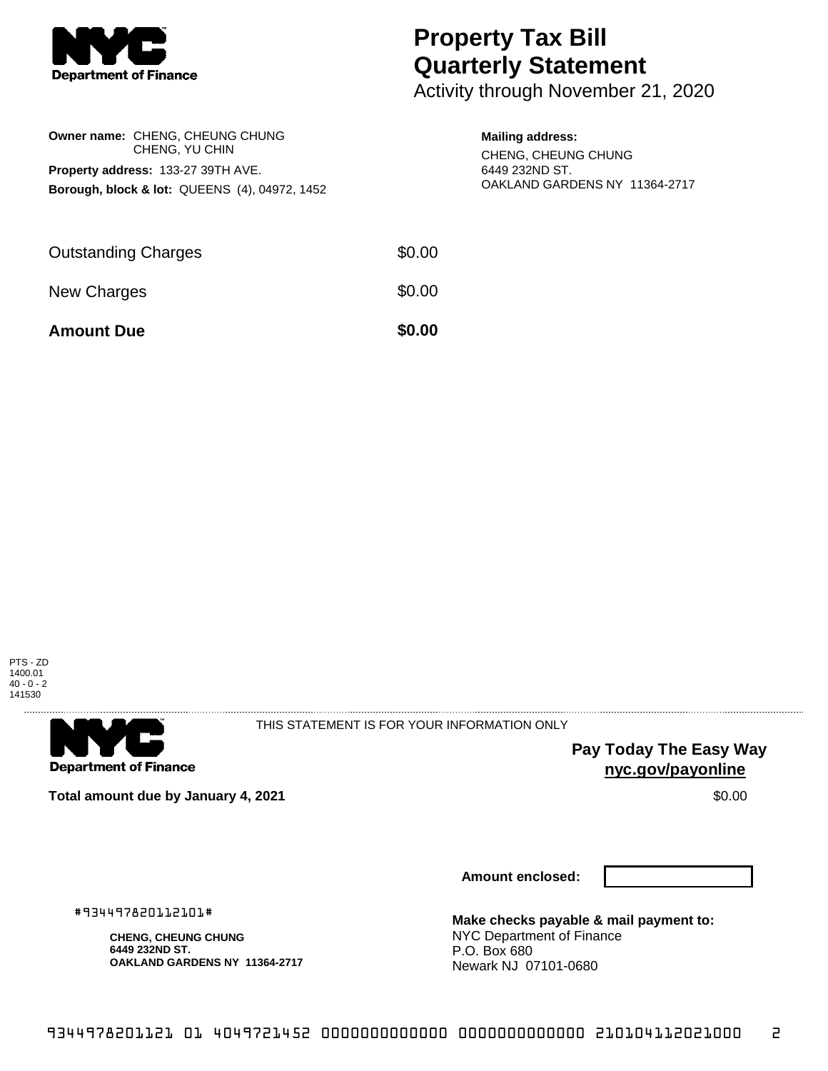

## **Property Tax Bill Quarterly Statement**

Activity through November 21, 2020

| Owner name: CHENG, CHEUNG CHUNG<br>CHENG, YU CHIN<br><b>Property address: 133-27 39TH AVE.</b><br>Borough, block & lot: QUEENS (4), 04972, 1452 |        | <b>Mailing address:</b><br>CHENG, CHEUNG CHUNG<br>6449 232ND ST.<br>OAKLAND GARDENS NY 11364-2717 |  |
|-------------------------------------------------------------------------------------------------------------------------------------------------|--------|---------------------------------------------------------------------------------------------------|--|
| <b>Outstanding Charges</b>                                                                                                                      | \$0.00 |                                                                                                   |  |
| New Charges                                                                                                                                     | \$0.00 |                                                                                                   |  |

**Amount Due \$0.00** 

PTS - ZD 1400.01 40 - 0 - 2 141530



THIS STATEMENT IS FOR YOUR INFORMATION ONLY

**Pay Today The Easy Way nyc.gov/payonline**

**Total amount due by January 4, 2021 \$0.00 \$0.00** 

**Amount enclosed:**

#934497820112101#

**CHENG, CHEUNG CHUNG 6449 232ND ST. OAKLAND GARDENS NY 11364-2717** **Make checks payable & mail payment to:** NYC Department of Finance P.O. Box 680 Newark NJ 07101-0680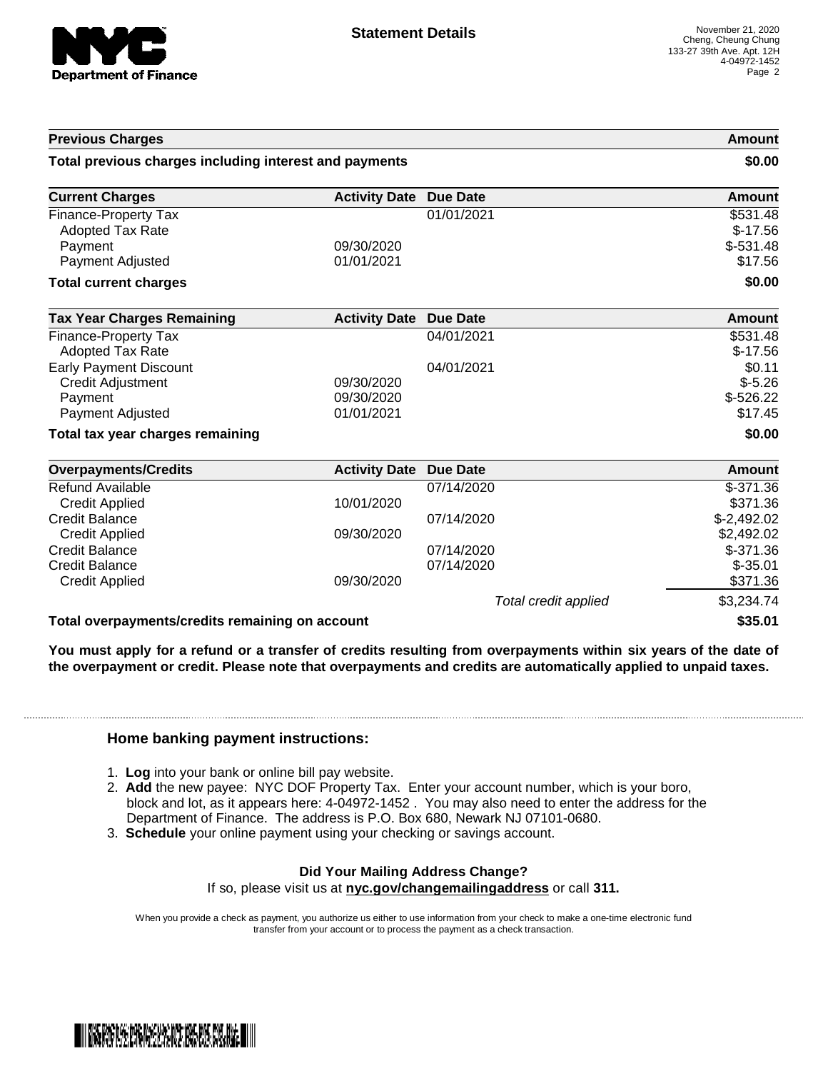

| <b>Previous Charges</b>                                |                      |                      | Amount       |
|--------------------------------------------------------|----------------------|----------------------|--------------|
| Total previous charges including interest and payments |                      |                      | \$0.00       |
| <b>Current Charges</b>                                 | <b>Activity Date</b> | <b>Due Date</b>      | Amount       |
| Finance-Property Tax                                   |                      | 01/01/2021           | \$531.48     |
| Adopted Tax Rate                                       |                      |                      | $$-17.56$    |
| Payment                                                | 09/30/2020           |                      | $$-531.48$   |
| Payment Adjusted                                       | 01/01/2021           |                      | \$17.56      |
| <b>Total current charges</b>                           |                      |                      | \$0.00       |
| <b>Tax Year Charges Remaining</b>                      | <b>Activity Date</b> | <b>Due Date</b>      | Amount       |
| <b>Finance-Property Tax</b>                            |                      | 04/01/2021           | \$531.48     |
| <b>Adopted Tax Rate</b>                                |                      |                      | $$-17.56$    |
| <b>Early Payment Discount</b>                          |                      | 04/01/2021           | \$0.11       |
| Credit Adjustment                                      | 09/30/2020           |                      | $$-5.26$     |
| Payment                                                | 09/30/2020           |                      | $$-526.22$   |
| Payment Adjusted                                       | 01/01/2021           |                      | \$17.45      |
| Total tax year charges remaining                       |                      |                      | \$0.00       |
| <b>Overpayments/Credits</b>                            | <b>Activity Date</b> | <b>Due Date</b>      | Amount       |
| <b>Refund Available</b>                                |                      | 07/14/2020           | $$-371.36$   |
| <b>Credit Applied</b>                                  | 10/01/2020           |                      | \$371.36     |
| <b>Credit Balance</b>                                  |                      | 07/14/2020           | $$-2,492.02$ |
| <b>Credit Applied</b>                                  | 09/30/2020           |                      | \$2,492.02   |
| <b>Credit Balance</b>                                  |                      | 07/14/2020           | $$-371.36$   |
| <b>Credit Balance</b>                                  |                      | 07/14/2020           | $$-35.01$    |
| <b>Credit Applied</b>                                  | 09/30/2020           |                      | \$371.36     |
|                                                        |                      | Total credit applied | \$3,234.74   |
| Total overpayments/credits remaining on account        |                      |                      | \$35.01      |

You must apply for a refund or a transfer of credits resulting from overpayments within six years of the date of **the overpayment or credit. Please note that overpayments and credits are automatically applied to unpaid taxes.**

## **Home banking payment instructions:**

- 1. **Log** into your bank or online bill pay website.
- 2. **Add** the new payee: NYC DOF Property Tax. Enter your account number, which is your boro, block and lot, as it appears here: 4-04972-1452 . You may also need to enter the address for the Department of Finance. The address is P.O. Box 680, Newark NJ 07101-0680.
- 3. **Schedule** your online payment using your checking or savings account.

## **Did Your Mailing Address Change?**

If so, please visit us at **nyc.gov/changemailingaddress** or call **311.**

When you provide a check as payment, you authorize us either to use information from your check to make a one-time electronic fund transfer from your account or to process the payment as a check transaction.